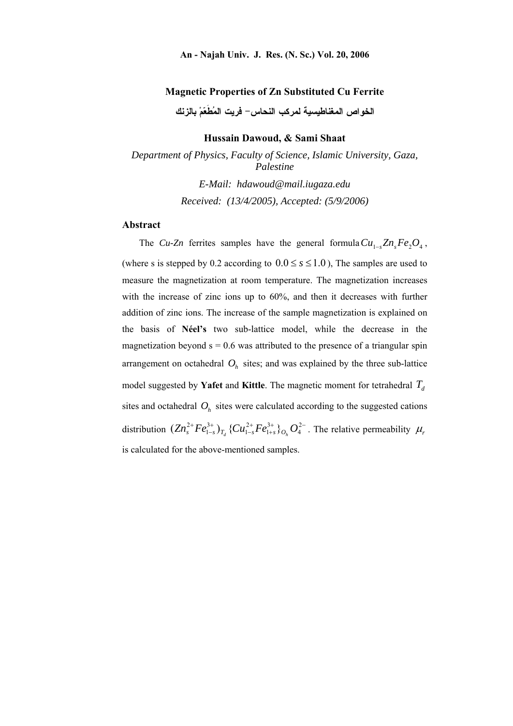#### **Magnetic Properties of Zn Substituted Cu Ferrite**

**الخواص المغناطيسية لمركب النحاس- فريت المُطَعّمْ بالزنك** 

**Hussain Dawoud, & Sami Shaat**

*Department of Physics, Faculty of Science, Islamic University, Gaza, Palestine E-Mail: hdawoud@mail.iugaza.edu Received: (13/4/2005), Accepted: (5/9/2006)*

#### **Abstract**

The *Cu-Zn* ferrites samples have the general formula  $Cu_{1-s}Zn_sFe_2O_4$ , (where s is stepped by 0.2 according to  $0.0 \le s \le 1.0$ ), The samples are used to measure the magnetization at room temperature. The magnetization increases with the increase of zinc ions up to 60%, and then it decreases with further addition of zinc ions. The increase of the sample magnetization is explained on the basis of **Néel's** two sub-lattice model, while the decrease in the magnetization beyond  $s = 0.6$  was attributed to the presence of a triangular spin arrangement on octahedral  $O<sub>h</sub>$  sites; and was explained by the three sub-lattice model suggested by **Yafet** and **Kittle**. The magnetic moment for tetrahedral  $T_d$ sites and octahedral  $O<sub>h</sub>$  sites were calculated according to the suggested cations distribution  $(Zn_s^{2+}Fe_{1-s}^{3+})_{T_d}$  { $Cu_{1-s}^{2+}Fe_{1+s}^{3+}$ } $_{O_h}$   $O_4^{2-}$  $^{+}$  $\overline{a}$  $\overline{+}$  $\overline{a}$  $+ E_e^{3+}$   $(C_e^{2+} E_e^{3+})$   $\Omega^2$ 4 3 1 2 1 3  $(Zn_s^{2+}Fe_{1-s}^{3+})_{T_d}$  { $Cu_{1-s}^{2+}Fe_{1+s}^{3+}$ } $_{O_h}$   $O_4^{2-}$ . The relative permeability  $\mu$ , is calculated for the above-mentioned samples.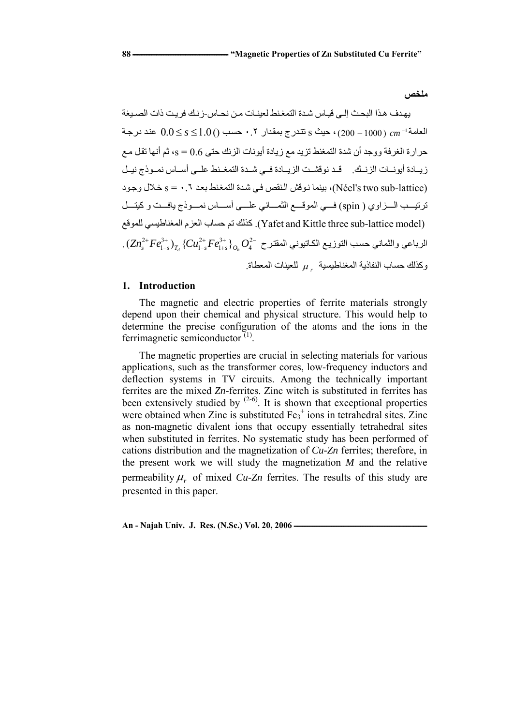يهدف هذا البحث إلى قيـاس شدة التمغنط لعينـات مـن نحـاس-ز نـك فر يـت ذات الصـيغة  $\frac{1}{2}$ العا*مة* $\frac{1}{2}$  عند در جه (1000 – 200) ، حيث s تتدرج بمقدار ٠.٢ حسب () 1.0  $\frac{1}{2}$  عند در جه حرارة الغرفة ووجد أن شدة التمغنط تزيد مع زيادة أيونات الزنك حتى 0.6 = s، ثم أنها تقل مع زيدة أيونسات الزنسك. قد نوقشت الزيبادة في شيدة التمغينط عليي أسياس نميوذج نييل (Néel's two sub-lattice)، بينما نوقش النقص في شدة التمغنط بعد ٦. • = s خلال وجود ترتيــب الـــزاوي ( spin) فـــي الموقـــع الثمـــاني علـــي أســـاس نمـــوذج يافــت و كيتـــل للموقع المغناطيسي العزم حساب تم كذلك .)Yafet and Kittle three sub-lattice model)  $\big\}^*_{\scriptscriptstyle{r_{\rm s}}} \big\rangle_{O_{\rm a}} O_4^{2-}$ الرباعي والثماني حسب التوزيـع الكاتيوني المقترح  $^{+}$  $\overline{a}$  $^{+}$  $\overline{a}$  $+ E_2^3$   $+ \sqrt{(C_1^2 + E_2^3)}$   $\sqrt{2}$ 4 3 1 2 1 3  $1. \left( Zn_s^{2+}Fe_{1-s}^{3+}\right)_{T_d}\left\{ Cu_{1-s}^{2+}Fe_{1+s}^{3+}\right\} _{O_h}O_{1}$ وكذلك حساب النفاذية المغناطيسية <sub>معالم</sub> المعطاة.

# **1. Introduction**

The magnetic and electric properties of ferrite materials strongly depend upon their chemical and physical structure. This would help to determine the precise configuration of the atoms and the ions in the ferrimagnetic semiconductor  $(1)$ .

The magnetic properties are crucial in selecting materials for various applications, such as the transformer cores, low-frequency inductors and deflection systems in TV circuits. Among the technically important ferrites are the mixed *Zn-*ferrites. Zinc witch is substituted in ferrites has been extensively studied by  $(2-6)$ . It is shown that exceptional properties were obtained when Zinc is substituted  $Fe<sub>3</sub><sup>+</sup>$  ions in tetrahedral sites. Zinc as non-magnetic divalent ions that occupy essentially tetrahedral sites when substituted in ferrites. No systematic study has been performed of cations distribution and the magnetization of *Cu-Zn* ferrites; therefore, in the present work we will study the magnetization *M* and the relative permeability  $\mu_r$  of mixed *Cu-Zn* ferrites. The results of this study are presented in this paper.

An - Najah Univ. J. Res. (N.Sc.) Vol. 20, 2006 -

**ملخص**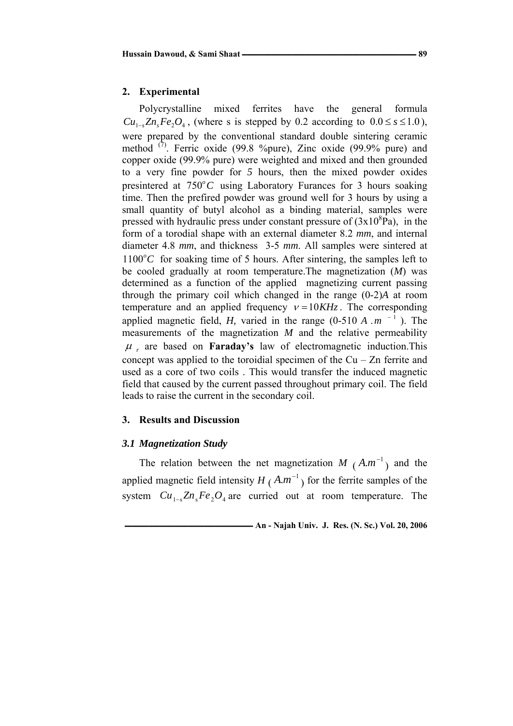# **2. Experimental**

Polycrystalline mixed ferrites have the general formula  $Cu_{1-s}Zn_sFe_2O_4$ , (where s is stepped by 0.2 according to  $0.0 \le s \le 1.0$ ), were prepared by the conventional standard double sintering ceramic method  $(7)$ . Ferric oxide (99.8 %pure), Zinc oxide (99.9% pure) and copper oxide (99.9% pure) were weighted and mixed and then grounded to a very fine powder for *5* hours, then the mixed powder oxides presintered at  $750^{\circ}$ C using Laboratory Furances for 3 hours soaking time. Then the prefired powder was ground well for 3 hours by using a small quantity of butyl alcohol as a binding material, samples were pressed with hydraulic press under constant pressure of  $(3x10<sup>8</sup>Pa)$ , in the form of a torodial shape with an external diameter 8.2 *mm*, and internal diameter 4.8 *mm*, and thickness 3-5 *mm*. All samples were sintered at  $1100^{\circ}$ C for soaking time of 5 hours. After sintering, the samples left to be cooled gradually at room temperature.The magnetization (*M*) was determined as a function of the applied magnetizing current passing through the primary coil which changed in the range (0-2)*A* at room temperature and an applied frequency  $v = 10KHz$ . The corresponding applied magnetic field, *H*, varied in the range  $(0-510 A \cdot m^{-1})$ . The measurements of the magnetization *M* and the relative permeability  $\mu$ , are based on **Faraday's** law of electromagnetic induction. This concept was applied to the toroidial specimen of the  $Cu - Zn$  ferrite and used as a core of two coils . This would transfer the induced magnetic field that caused by the current passed throughout primary coil. The field leads to raise the current in the secondary coil.

# **3. Results and Discussion**

# *3.1 Magnetization Study*

The relation between the net magnetization  $M(A.m^{-1})$  and the applied magnetic field intensity  $H(A.m^{-1})$  for the ferrite samples of the system  $Cu_{1-s}Zn_sFe_2O_4$  are curried out at room temperature. The

 **<sup>-</sup> An - Najah Univ. J. Res. (N. Sc.) Vol. 20, 2006**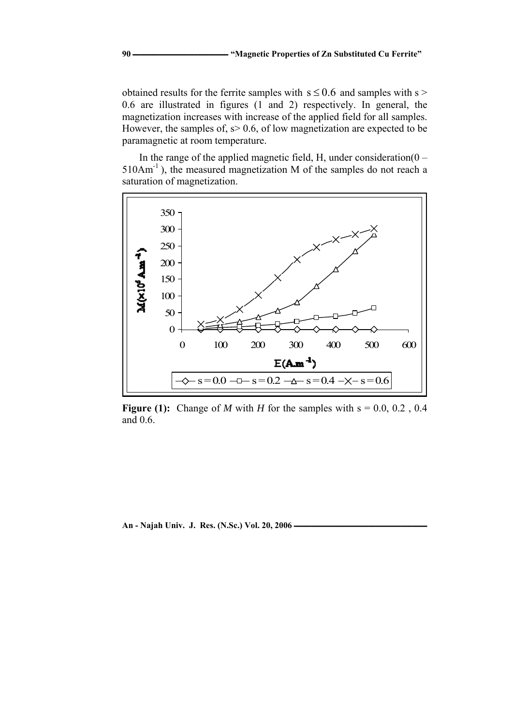obtained results for the ferrite samples with  $s \le 0.6$  and samples with s > 0.6 are illustrated in figures (1 and 2) respectively. In general, the magnetization increases with increase of the applied field for all samples. However, the samples of,  $s > 0.6$ , of low magnetization are expected to be paramagnetic at room temperature.

In the range of the applied magnetic field, H, under consideration( $0 -$ 510Am-1 ), the measured magnetization M of the samples do not reach a saturation of magnetization.



**Figure (1):** Change of *M* with *H* for the samples with  $s = 0.0, 0.2, 0.4$ and 0.6.

An - Najah Univ. J. Res. (N.Sc.) Vol. 20, 2006 **·**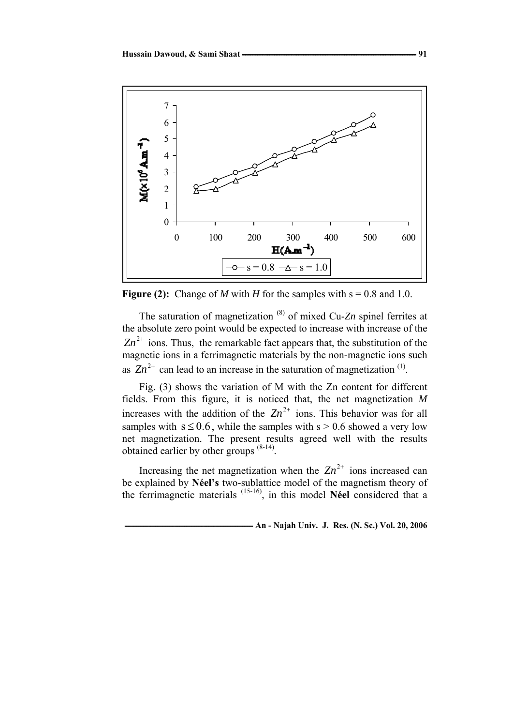

**Figure (2):** Change of *M* with *H* for the samples with  $s = 0.8$  and 1.0.

The saturation of magnetization (8) of mixed Cu-*Zn* spinel ferrites at the absolute zero point would be expected to increase with increase of the  $Zn^{2+}$  ions. Thus, the remarkable fact appears that, the substitution of the magnetic ions in a ferrimagnetic materials by the non-magnetic ions such as  $Zn^{2+}$  can lead to an increase in the saturation of magnetization <sup>(1)</sup>.

Fig. (3) shows the variation of M with the Zn content for different fields. From this figure, it is noticed that, the net magnetization *M* increases with the addition of the  $Zn^{2+}$  ions. This behavior was for all samples with  $s \le 0.6$ , while the samples with  $s > 0.6$  showed a very low net magnetization. The present results agreed well with the results obtained earlier by other groups (8-14)*.* 

Increasing the net magnetization when the  $Zn^{2+}$  ions increased can be explained by **Néel's** two-sublattice model of the magnetism theory of the ferrimagnetic materials (15-16), in this model **Néel** considered that a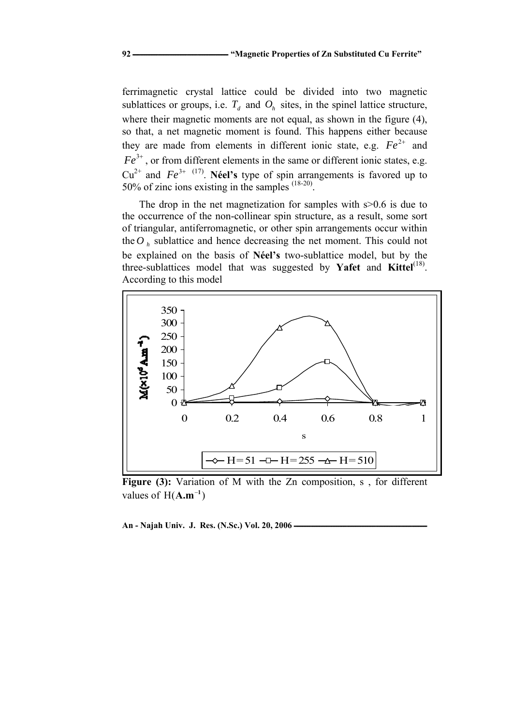ferrimagnetic crystal lattice could be divided into two magnetic sublattices or groups, i.e.  $T_d$  and  $O_h$  sites, in the spinel lattice structure, where their magnetic moments are not equal, as shown in the figure (4), so that, a net magnetic moment is found. This happens either because they are made from elements in different ionic state, e.g.  $Fe^{2+}$  and  $Fe^{3+}$ , or from different elements in the same or different ionic states, e.g.  $Cu^{2+}$  and  $Fe^{3+}$  <sup>(17)</sup>. **Néel's** type of spin arrangements is favored up to 50% of zinc ions existing in the samples  $(18-20)$ .

The drop in the net magnetization for samples with  $s > 0.6$  is due to the occurrence of the non-collinear spin structure, as a result, some sort of triangular, antiferromagnetic, or other spin arrangements occur within the  $O_h$  sublattice and hence decreasing the net moment. This could not be explained on the basis of **Néel's** two-sublattice model, but by the three-sublattices model that was suggested by **Yafet** and **Kittel**(18). According to this model



Figure (3): Variation of M with the Zn composition, s, for different values of  $H(A.m^{-1})$ 

An - Najah Univ. J. Res. (N.Sc.) Vol. 20, 2006 *an*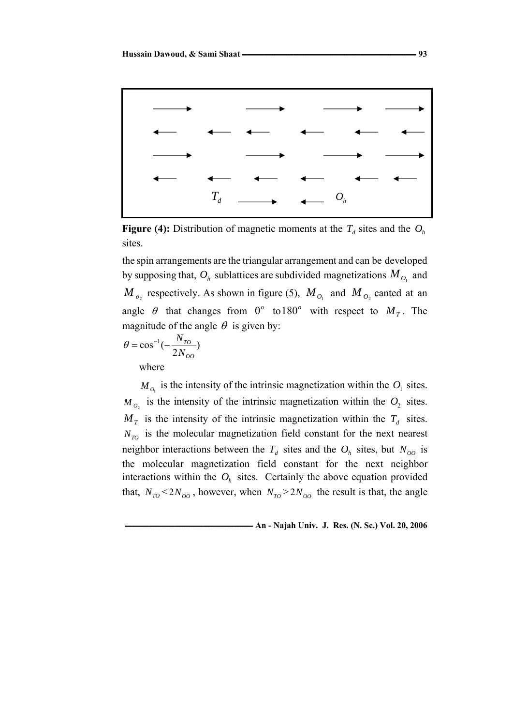

**Figure (4):** Distribution of magnetic moments at the  $T_d$  sites and the  $O_h$ sites.

the spin arrangements are the triangular arrangement and can be developed by supposing that,  $O_h$  sublattices are subdivided magnetizations  $M_{O_1}$  and  $M_{o}$ , respectively. As shown in figure (5),  $M_{o}$  and  $M_{o}$  canted at an angle  $\theta$  that changes from  $0^{\circ}$  to 180° with respect to  $M_T$ . The magnitude of the angle  $\theta$  is given by:

$$
\theta = \cos^{-1}(-\frac{N_{TO}}{2N_{OO}})
$$
  
where

 $M_{O_1}$  is the intensity of the intrinsic magnetization within the  $O_1$  sites.  $M_{O_2}$  is the intensity of the intrinsic magnetization within the  $O_2$  sites.  $M<sub>T</sub>$  is the intensity of the intrinsic magnetization within the  $T<sub>d</sub>$  sites.  $N_{TO}$  is the molecular magnetization field constant for the next nearest neighbor interactions between the  $T_d$  sites and the  $O_h$  sites, but  $N_{oo}$  is the molecular magnetization field constant for the next neighbor interactions within the  $O<sub>h</sub>$  sites. Certainly the above equation provided that,  $N_{T0}$  < 2 $N_{OO}$ , however, when  $N_{T0}$  > 2 $N_{OO}$  the result is that, the angle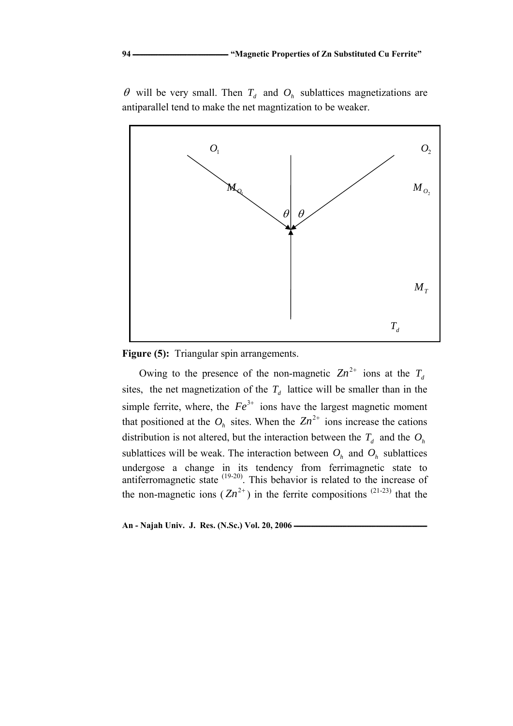

 $\theta$  will be very small. Then  $T_d$  and  $O_h$  sublattices magnetizations are antiparallel tend to make the net magntization to be weaker.

**Figure (5):** Triangular spin arrangements.

Owing to the presence of the non-magnetic  $Zn^{2+}$  ions at the  $T_d$ sites, the net magnetization of the  $T_d$  lattice will be smaller than in the simple ferrite, where, the  $Fe^{3+}$  ions have the largest magnetic moment that positioned at the  $O_h$  sites. When the  $Zn^{2+}$  ions increase the cations distribution is not altered, but the interaction between the  $T_d$  and the  $O_h$ sublattices will be weak. The interaction between  $O_h$  and  $O_h$  sublattices undergose a change in its tendency from ferrimagnetic state to antiferromagnetic state <sup>(19-20)</sup>. This behavior is related to the increase of the non-magnetic ions  $(Zn^{2+})$  in the ferrite compositions <sup>(21-23)</sup> that the

An - Najah Univ. J. Res. (N.Sc.) Vol. 20, 2006 *An*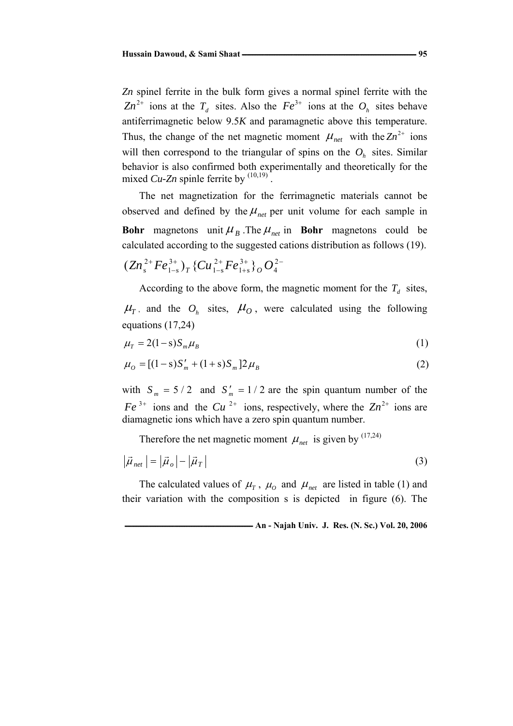*Zn* spinel ferrite in the bulk form gives a normal spinel ferrite with the  $Zn^{2+}$  ions at the  $T_d$  sites. Also the  $Fe^{3+}$  ions at the  $O_h$  sites behave antiferrimagnetic below 9.5*K* and paramagnetic above this temperature. Thus, the change of the net magnetic moment  $\mu_{net}$  with the  $Zn^{2+}$  ions will then correspond to the triangular of spins on the  $O<sub>h</sub>$  sites. Similar behavior is also confirmed both experimentally and theoretically for the mixed  $Cu$ -Zn spinle ferrite by  $(10,19)$ 

The net magnetization for the ferrimagnetic materials cannot be observed and defined by the  $\mu_{net}$  per unit volume for each sample in **Bohr** magnetons unit  $\mu_B$ . The  $\mu_{net}$  in **Bohr** magnetons could be calculated according to the suggested cations distribution as follows (19).

$$
(Zn_s^{2+}Fe_{1-s}^{3+})_T\{Cu_{1-s}^{2+}Fe_{1+s}^{3+}\}_O\,O_4^{2-}
$$

According to the above form, the magnetic moment for the  $T<sub>d</sub>$  sites,

 $\mu_{\text{r}}$ , and the  $O_h$  sites,  $\mu_{\text{O}}$ , were calculated using the following equations (17,24)

$$
\mu_{\scriptscriptstyle T} = 2(1 - \mathrm{s})S_{\scriptscriptstyle m}\mu_{\scriptscriptstyle B} \tag{1}
$$

$$
\mu_o = [(1 - s)S'_m + (1 + s)S_m]2\mu_B
$$
\n(2)

with  $S_m = 5/2$  and  $S'_m = 1/2$  are the spin quantum number of the  $Fe^{3+}$  ions and the  $Cu^{2+}$  ions, respectively, where the  $Zn^{2+}$  ions are diamagnetic ions which have a zero spin quantum number.

Therefore the net magnetic moment  $\mu_{net}$  is given by <sup>(17,24)</sup>

$$
\left|\vec{\mu}_{net}\right| = \left|\vec{\mu}_o\right| - \left|\vec{\mu}_T\right| \tag{3}
$$

The calculated values of  $\mu_{\tau}$ ,  $\mu_{\theta}$  and  $\mu_{\eta_{\text{net}}}$  are listed in table (1) and their variation with the composition s is depicted in figure (6). The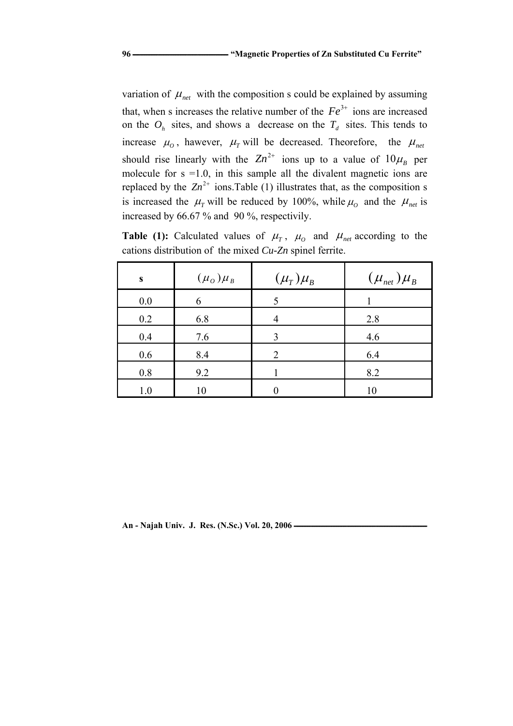variation of  $\mu_{net}$  with the composition s could be explained by assuming that, when s increases the relative number of the  $Fe<sup>3+</sup>$  ions are increased on the  $O_h$  sites, and shows a decrease on the  $T_d$  sites. This tends to increase  $\mu_0$ , hawever,  $\mu_T$  will be decreased. Theorefore, the  $\mu_{net}$ should rise linearly with the  $Zn^{2+}$  ions up to a value of  $10\mu_B$  per molecule for  $s = 1.0$ , in this sample all the divalent magnetic ions are replaced by the  $Zn^{2+}$  ions. Table (1) illustrates that, as the composition s is increased the  $\mu_r$  will be reduced by 100%, while  $\mu_o$  and the  $\mu_{net}$  is increased by 66.67 % and 90 %, respectivily.

**Table (1):** Calculated values of  $\mu_{\tau}$ ,  $\mu_{\theta}$  and  $\mu_{\text{net}}$  according to the cations distribution of the mixed *Cu-Zn* spinel ferrite.

| S   | $(\mu_o)\mu_B$ | $(\mu_{T})\mu_{B}$ | $(\mu_{net})\mu_{B}$ |
|-----|----------------|--------------------|----------------------|
| 0.0 | 6              |                    |                      |
| 0.2 | 6.8            |                    | 2.8                  |
| 0.4 | 7.6            | 3                  | 4.6                  |
| 0.6 | 8.4            | 2                  | 6.4                  |
| 0.8 | 9.2            |                    | 8.2                  |
| 1.0 | 10             |                    | 10                   |

An - Najah Univ. J. Res. (N.Sc.) Vol. 20, 2006 **·**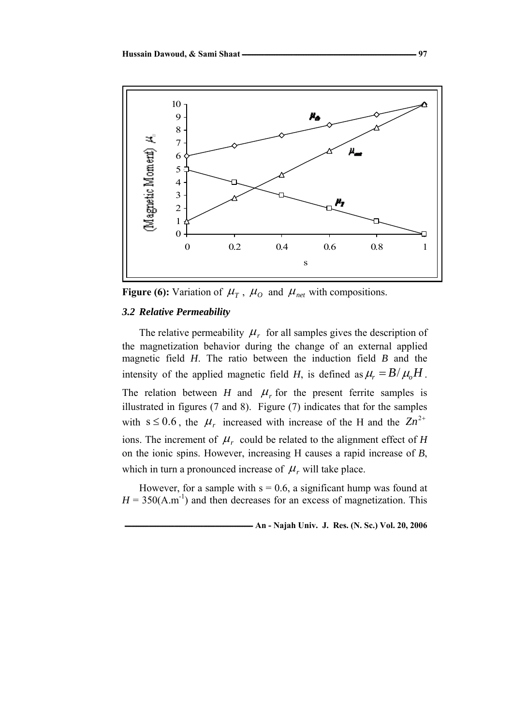

**Figure (6):** Variation of  $\mu_{T}$ ,  $\mu_{O}$  and  $\mu_{net}$  with compositions.

# *3.2 Relative Permeability*

The relative permeability  $\mu_r$  for all samples gives the description of the magnetization behavior during the change of an external applied magnetic field *H*. The ratio between the induction field *B* and the intensity of the applied magnetic field *H*, is defined as  $\mu_r = B/\mu_o H$ . The relation between *H* and  $\mu_r$  for the present ferrite samples is illustrated in figures (7 and 8). Figure (7) indicates that for the samples with  $s \le 0.6$ , the  $\mu_r$  increased with increase of the H and the  $Zn^{2+}$ ions. The increment of  $\mu_r$  could be related to the alignment effect of *H* on the ionic spins. However, increasing H causes a rapid increase of *B*, which in turn a pronounced increase of  $\mu_r$  will take place.

However, for a sample with  $s = 0.6$ , a significant hump was found at  $H = 350(A.m^{-1})$  and then decreases for an excess of magnetization. This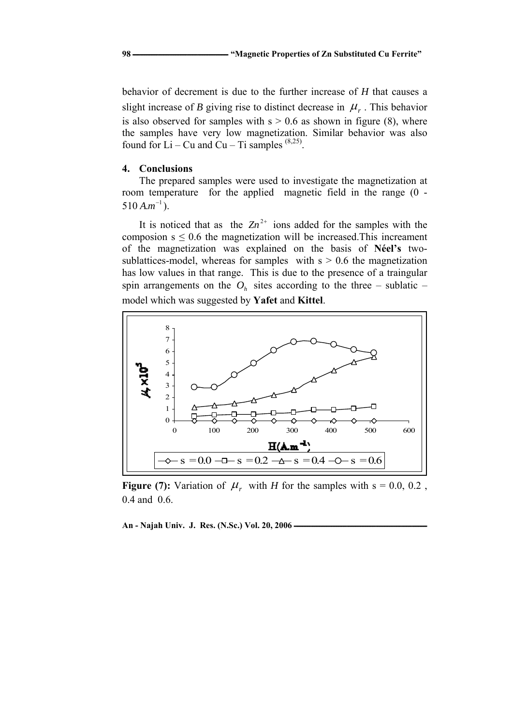behavior of decrement is due to the further increase of *H* that causes a slight increase of *B* giving rise to distinct decrease in  $\mu_r$ . This behavior is also observed for samples with  $s > 0.6$  as shown in figure (8), where the samples have very low magnetization. Similar behavior was also found for  $Li - Cu$  and  $Cu - Ti$  samples  $(8,25)$ .

#### **4. Conclusions**

The prepared samples were used to investigate the magnetization at room temperature for the applied magnetic field in the range (0 -  $510 A.m^{-1}$ ).

It is noticed that as the  $Zn^{2+}$  ions added for the samples with the composion  $s \leq 0.6$  the magnetization will be increased. This increament of the magnetization was explained on the basis of **Néel's** twosublattices-model, whereas for samples with  $s > 0.6$  the magnetization has low values in that range. This is due to the presence of a traingular spin arrangements on the  $O<sub>h</sub>$  sites according to the three – sublatic – model which was suggested by **Yafet** and **Kittel**.



**Figure (7):** Variation of  $\mu_r$  with *H* for the samples with s = 0.0, 0.2, 0.4 and 0.6.

An - Najah Univ. J. Res. (N.Sc.) Vol. 20, 2006 **·**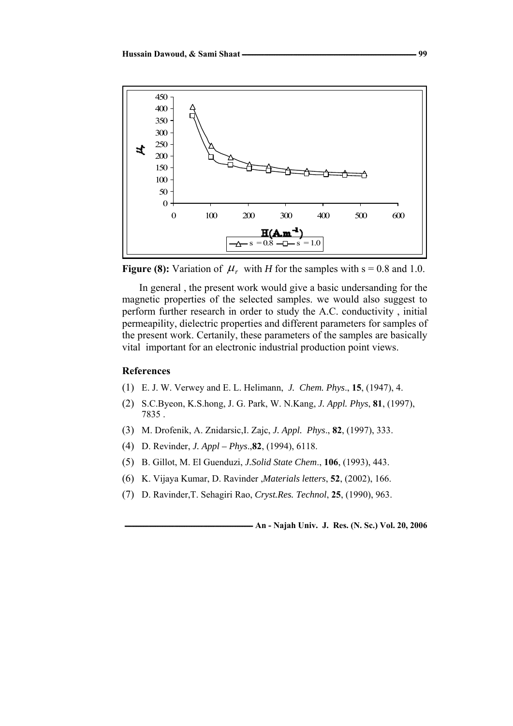



In general , the present work would give a basic undersanding for the magnetic properties of the selected samples. we would also suggest to perform further research in order to study the A.C. conductivity , initial permeapility, dielectric properties and different parameters for samples of the present work. Certanily, these parameters of the samples are basically vital important for an electronic industrial production point views.

#### **References**

- (1) E. J. W. Verwey and E. L. Helimann, *J. Chem. Phys*., **15**, (1947), 4.
- (2) S.C.Byeon, K.S.hong, J. G. Park, W. N.Kang, *J. Appl. Phys*, **81**, (1997), 7835 .
- (3) M. Drofenik, A. Znidarsic,I. Zajc, *J. Appl. Phys*., **82**, (1997), 333.
- (4) D. Revinder, *J. Appl Phys*.,**82**, (1994), 6118.
- (5) B. Gillot, M. El Guenduzi, *J.Solid State Chem*., **106**, (1993), 443.
- (6) K. Vijaya Kumar, D. Ravinder ,*Materials letters*, **52**, (2002), 166.
- (7) D. Ravinder,T. Sehagiri Rao, *Cryst.Res. Technol*, **25**, (1990), 963.